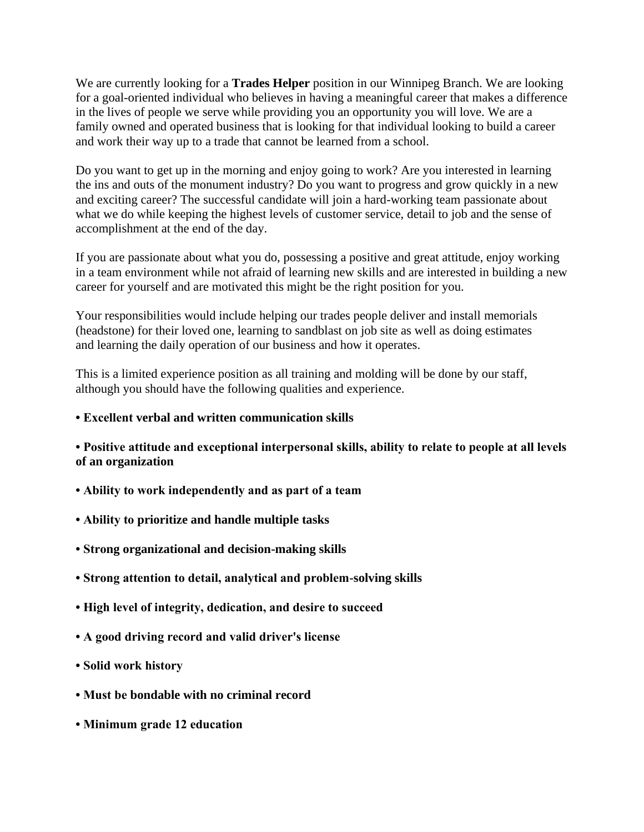We are currently looking for a **Trades Helper** position in our Winnipeg Branch. We are looking for a goal-oriented individual who believes in having a meaningful career that makes a difference in the lives of people we serve while providing you an opportunity you will love. We are a family owned and operated business that is looking for that individual looking to build a career and work their way up to a trade that cannot be learned from a school.

Do you want to get up in the morning and enjoy going to work? Are you interested in learning the ins and outs of the monument industry? Do you want to progress and grow quickly in a new and exciting career? The successful candidate will join a hard-working team passionate about what we do while keeping the highest levels of customer service, detail to job and the sense of accomplishment at the end of the day.

If you are passionate about what you do, possessing a positive and great attitude, enjoy working in a team environment while not afraid of learning new skills and are interested in building a new career for yourself and are motivated this might be the right position for you.

Your responsibilities would include helping our trades people deliver and install memorials (headstone) for their loved one, learning to sandblast on job site as well as doing estimates and learning the daily operation of our business and how it operates.

This is a limited experience position as all training and molding will be done by our staff, although you should have the following qualities and experience.

## **• Excellent verbal and written communication skills**

**• Positive attitude and exceptional interpersonal skills, ability to relate to people at all levels of an organization**

- **Ability to work independently and as part of a team**
- **Ability to prioritize and handle multiple tasks**
- **Strong organizational and decision-making skills**
- **Strong attention to detail, analytical and problem-solving skills**
- **High level of integrity, dedication, and desire to succeed**
- **A good driving record and valid driver's license**
- **Solid work history**
- **Must be bondable with no criminal record**
- **Minimum grade 12 education**